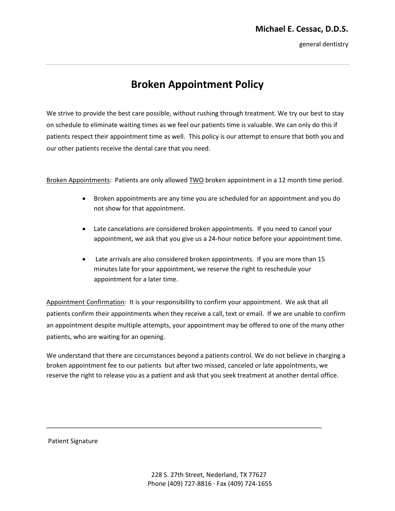general dentistry

## **Broken Appointment Policy**

We strive to provide the best care possible, without rushing through treatment. We try our best to stay on schedule to eliminate waiting times as we feel our patients time is valuable. We can only do this if patients respect their appointment time as well. This policy is our attempt to ensure that both you and our other patients receive the dental care that you need.

Broken Appointments: Patients are only allowed **TWO** broken appointment in a 12 month time period.

- Broken appointments are any time you are scheduled for an appointment and you do not show for that appointment.
- Late cancelations are considered broken appointments. If you need to cancel your appointment, we ask that you give us a 24-hour notice before your appointment time.
- Late arrivals are also considered broken appointments. If you are more than 15 minutes late for your appointment, we reserve the right to reschedule your appointment for a later time.

Appointment Confirmation: It is your responsibility to confirm your appointment. We ask that all patients confirm their appointments when they receive a call, text or email. If we are unable to confirm an appointment despite multiple attempts, your appointment may be offered to one of the many other patients, who are waiting for an opening.

We understand that there are circumstances beyond a patients control. We do not believe in charging a broken appointment fee to our patients but after two missed, canceled or late appointments, we reserve the right to release you as a patient and ask that you seek treatment at another dental office.

\_\_\_\_\_\_\_\_\_\_\_\_\_\_\_\_\_\_\_\_\_\_\_\_\_\_\_\_\_\_\_\_\_\_\_\_\_\_\_\_\_\_\_\_\_\_\_\_\_\_\_\_\_\_\_\_\_\_\_\_\_\_\_\_\_\_\_\_\_\_\_\_\_\_\_\_\_\_

Patient Signature